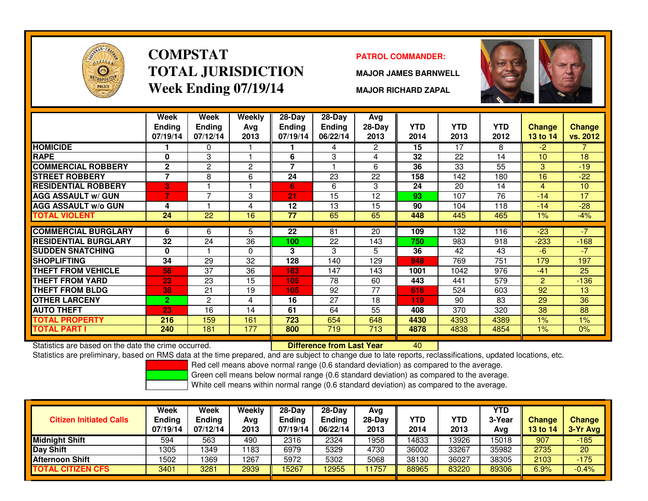

### **COMPSTATTOTAL JURISDICTIONWeek Ending 07/19/14**

#### **PATROL COMMANDER:**

**MAJOR JAMES BARNWELL**



**MAJOR RICHARD ZAPAL**

|                                                      | Week<br><b>Ending</b><br>07/19/14 | <b>Week</b><br><b>Ending</b><br>07/12/14 | Weekly<br>Ava<br>2013 | $28 - Day$<br>Ending<br>07/19/14 | $28 - Day$<br><b>Ending</b><br>06/22/14 | Avg<br>28-Day<br>2013 | <b>YTD</b><br>2014 | <b>YTD</b><br>2013 | <b>YTD</b><br>2012 | <b>Change</b><br><b>13 to 14</b> | <b>Change</b><br>vs. 2012 |
|------------------------------------------------------|-----------------------------------|------------------------------------------|-----------------------|----------------------------------|-----------------------------------------|-----------------------|--------------------|--------------------|--------------------|----------------------------------|---------------------------|
| <b>HOMICIDE</b>                                      |                                   | 0                                        |                       |                                  | 4                                       | $\overline{2}$        | 15                 | 17                 | 8                  | $-2$                             |                           |
| <b>RAPE</b>                                          | 0                                 | 3                                        |                       | 6                                | 3                                       | 4                     | 32                 | 22                 | 14                 | 10                               | 18                        |
| <b>COMMERCIAL ROBBERY</b>                            | $\overline{2}$                    | 2                                        | 2                     | 7                                |                                         | 6                     | 36                 | 33                 | 55                 | 3                                | $-19$                     |
| <b>STREET ROBBERY</b>                                | 7                                 | 8                                        | 6                     | 24                               | 23                                      | 22                    | 158                | 142                | 180                | 16                               | $-22$                     |
| <b>RESIDENTIAL ROBBERY</b>                           | 3                                 |                                          |                       | 6                                | 6                                       | 3                     | 24                 | 20                 | 14                 | $\overline{4}$                   | 10                        |
| <b>AGG ASSAULT w/ GUN</b>                            |                                   | 7                                        | 3                     | 21                               | 15                                      | 12                    | 93                 | 107                | 76                 | $-14$                            | 17                        |
| <b>AGG ASSAULT w/o GUN</b>                           | 4                                 |                                          | 4                     | 12                               | 13                                      | 15                    | 90                 | 104                | 118                | $-14$                            | $-28$                     |
| <b>TOTAL VIOLENT</b>                                 | 24                                | 22                                       | 16                    | 77                               | 65                                      | 65                    | 448                | 445                | 465                | $1\%$                            | $-4%$                     |
|                                                      |                                   |                                          |                       |                                  |                                         |                       |                    |                    |                    |                                  |                           |
| <b>COMMERCIAL BURGLARY</b>                           | 6                                 | 6                                        | 5.                    | 22                               | 81                                      | 20                    | 109                | 132                | 116                | $-23$                            | $-7$                      |
| <b>RESIDENTIAL BURGLARY</b>                          | 32                                | 24                                       | 36                    | 100                              | 22                                      | 143                   | 750                | 983                | 918                | $-233$                           | $-168$                    |
| <b>SUDDEN SNATCHING</b>                              | $\mathbf{0}$                      |                                          | 0                     | 3                                | 3                                       | 5                     | 36                 | 42                 | 43                 | $-6$                             | $-7$                      |
| <b>SHOPLIFTING</b>                                   | 34                                | 29                                       | 32                    | 128                              | 140                                     | 129                   | 948                | 769                | 751                | 179                              | 197                       |
| <b>THEFT FROM VEHICLE</b>                            | 58                                | 37                                       | 36                    | 183                              | 147                                     | 143                   | 1001               | 1042               | 976                | $-41$                            | 25                        |
| <b>THEFT FROM YARD</b>                               | 23                                | 23                                       | 15                    | 105                              | 78                                      | 60                    | 443                | 441                | 579                | 2                                | $-136$                    |
| <b>THEFT FROM BLDG</b>                               | 38                                | 21                                       | 19                    | 105                              | 92                                      | 77                    | 616                | 524                | 603                | 92                               | 13                        |
| <b>OTHER LARCENY</b>                                 | $\overline{2}$                    | $\overline{c}$                           | 4                     | 16                               | 27                                      | 18                    | 119                | 90                 | 83                 | 29                               | 36                        |
| <b>AUTO THEFT</b>                                    | 23                                | 16                                       | 14                    | 61                               | 64                                      | 55                    | 408                | 370                | 320                | 38                               | 88                        |
| <b>TOTAL PROPERTY</b>                                | 216                               | 159                                      | 161                   | 723                              | 654                                     | 648                   | 4430               | 4393               | 4389               | 1%                               | 1%                        |
| <b>TOTAL PART I</b>                                  | 240                               | 181                                      | 177                   | 800                              | 719                                     | $\overline{713}$      | 4878               | 4838               | 4854               | 1%                               | 0%                        |
| Statistics are based on the date the crime occurred. |                                   |                                          |                       |                                  | <b>Difference from Last Year</b>        |                       | 40                 |                    |                    |                                  |                           |

Statistics are based on the date the crime occurred. **Difference from Last Year** 

Statistics are preliminary, based on RMS data at the time prepared, and are subject to change due to late reports, reclassifications, updated locations, etc.

Red cell means above normal range (0.6 standard deviation) as compared to the average.

Green cell means below normal range (0.6 standard deviation) as compared to the average.

| <b>Citizen Initiated Calls</b> | Week<br>Ending<br>07/19/14 | <b>Week</b><br><b>Ending</b><br>07/12/14 | Weekly<br>Avg<br>2013 | $28-Dav$<br><b>Ending</b><br>07/19/14 | $28-Day$<br><b>Ending</b><br>06/22/14 | Avg<br>28-Dav<br>2013 | YTD<br>2014 | YTD<br>2013 | YTD<br>3-Year<br>Avg | <b>Change</b><br><b>13 to 14</b> | <b>Change</b><br>3-Yr Avg |
|--------------------------------|----------------------------|------------------------------------------|-----------------------|---------------------------------------|---------------------------------------|-----------------------|-------------|-------------|----------------------|----------------------------------|---------------------------|
| <b>Midnight Shift</b>          | 594                        | 563                                      | 490                   | 2316                                  | 2324                                  | 1958                  | 14833       | 3926        | 15018                | 907                              | $-185$                    |
| Day Shift                      | 1305                       | 1349                                     | 1183                  | 6979                                  | 5329                                  | 4730                  | 36002       | 33267       | 35982                | 2735                             | 20                        |
| <b>Afternoon Shift</b>         | 1502                       | 1369                                     | 1267                  | 5972                                  | 5302                                  | 5068                  | 38130       | 36027       | 38305                | 2103                             | $-175$                    |
| <b>TOTAL CITIZEN CFS</b>       | 3401                       | 3281                                     | 2939                  | 15267                                 | 12955                                 | 1757                  | 88965       | 83220       | 89306                | 6.9%                             | $-0.4%$                   |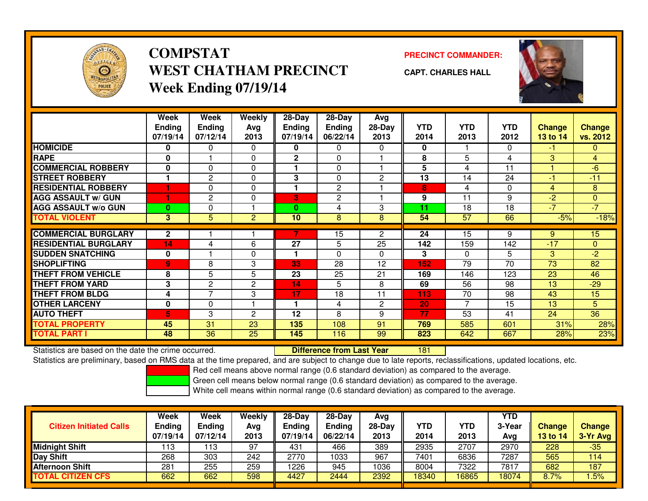

#### **COMPSTATPRECINCT COMMANDER:**<br>
PRECINCT COMMANDER: **WEST CHATHAM PRECINCTWeek Ending 07/19/14**

| . | <b>CAPT. CHARLES HALL</b> |
|---|---------------------------|
|   |                           |

|                             | Week<br><b>Ending</b><br>07/19/14 | Week<br><b>Ending</b><br>07/12/14 | Weekly<br>Avg<br>2013 | 28-Day<br><b>Ending</b><br>07/19/14 | $28-Day$<br><b>Ending</b><br>06/22/14 | Avg<br>28-Day<br>2013 | <b>YTD</b><br>2014 | <b>YTD</b><br>2013 | <b>YTD</b><br>2012 | <b>Change</b><br>13 to 14 | <b>Change</b><br>vs. 2012 |
|-----------------------------|-----------------------------------|-----------------------------------|-----------------------|-------------------------------------|---------------------------------------|-----------------------|--------------------|--------------------|--------------------|---------------------------|---------------------------|
| <b>HOMICIDE</b>             | 0                                 | 0                                 | 0                     | 0                                   | 0                                     | $\Omega$              | 0                  |                    | 0                  | -1                        | 0                         |
| <b>RAPE</b>                 | 0                                 |                                   | $\mathbf 0$           | $\mathbf 2$                         | 0                                     |                       | 8                  | 5                  | 4                  | 3                         | $\overline{4}$            |
| <b>COMMERCIAL ROBBERY</b>   | $\mathbf 0$                       | $\Omega$                          | $\Omega$              |                                     | 0                                     |                       | 5                  | 4                  | 11                 |                           | $-6$                      |
| <b>STREET ROBBERY</b>       |                                   | 2                                 | $\Omega$              | 3                                   | 0                                     | $\overline{2}$        | 13                 | 14                 | 24                 | -1                        | $-11$                     |
| <b>RESIDENTIAL ROBBERY</b>  |                                   | 0                                 | 0                     | 1                                   | 2                                     |                       | 8                  | 4                  | 0                  | 4                         | 8                         |
| <b>AGG ASSAULT w/ GUN</b>   |                                   | $\mathbf{2}$                      | $\mathbf{0}$          | 3                                   | 2                                     |                       | 9                  | 11                 | 9                  | $-2$                      | 0                         |
| <b>AGG ASSAULT w/o GUN</b>  | $\bf{0}$                          | 0                                 |                       | 0                                   | 4                                     | 3                     | 11                 | 18                 | 18                 | $\sqrt{7}$                | $-7$                      |
| <b>TOTAL VIOLENT</b>        | 3                                 | 5                                 | $\overline{2}$        | 10                                  | 8                                     | 8                     | 54                 | 57                 | 66                 | $-5%$                     | $-18%$                    |
|                             |                                   |                                   |                       |                                     |                                       |                       |                    |                    |                    |                           |                           |
| <b>COMMERCIAL BURGLARY</b>  | $\mathbf{2}$                      |                                   |                       |                                     | 15                                    | $\overline{2}$        | 24                 | 15                 | 9                  | 9                         | 15                        |
| <b>RESIDENTIAL BURGLARY</b> | 14                                | 4                                 | 6                     | 27                                  | 5                                     | 25                    | 142                | 159                | 142                | $-17$                     | $\Omega$                  |
| <b>SUDDEN SNATCHING</b>     | $\mathbf{0}$                      |                                   | $\Omega$              |                                     | 0                                     | 0                     | 3                  | $\Omega$           | 5                  | 3                         | $-2$                      |
| <b>SHOPLIFTING</b>          | 9                                 | 8                                 | 3                     | 33                                  | 28                                    | 12                    | 152                | 79                 | 70                 | 73                        | 82                        |
| <b>THEFT FROM VEHICLE</b>   | 8                                 | 5                                 | 5                     | 23                                  | 25                                    | 21                    | 169                | 146                | 123                | 23                        | 46                        |
| <b>THEFT FROM YARD</b>      | 3                                 | 2                                 | $\overline{c}$        | 14                                  | 5                                     | 8                     | 69                 | 56                 | 98                 | 13                        | $-29$                     |
| <b>THEFT FROM BLDG</b>      | 4                                 | ⇁                                 | 3                     | 17                                  | 18                                    | 11                    | 113                | 70                 | 98                 | 43                        | 15                        |
| <b>OTHER LARCENY</b>        | $\mathbf 0$                       | 0                                 |                       |                                     | 4                                     | $\mathbf{2}$          | 20                 | 7                  | 15                 | 13                        | 5                         |
| <b>AUTO THEFT</b>           | 5                                 | 3                                 | 2                     | 12                                  | 8                                     | 9                     | 77                 | 53                 | 41                 | 24                        | 36                        |
| <b>TOTAL PROPERTY</b>       | 45                                | 31                                | 23                    | 135                                 | 108                                   | 91                    | 769                | 585                | 601                | 31%                       | 28%                       |
| TOTAL PART I                | 48                                | 36                                | 25                    | 145                                 | 116                                   | 99                    | 823                | 642                | 667                | 28%                       | 23%                       |

Statistics are based on the date the crime occurred. **Difference from Last Year** 

<sup>181</sup>

Statistics are preliminary, based on RMS data at the time prepared, and are subject to change due to late reports, reclassifications, updated locations, etc.

Red cell means above normal range (0.6 standard deviation) as compared to the average.

Green cell means below normal range (0.6 standard deviation) as compared to the average.

| <b>Citizen Initiated Calls</b> | Week<br>Ending<br>07/19/14 | Week<br>Ending<br>07/12/14 | Weekly<br>Avg<br>2013 | $28-Dav$<br><b>Ending</b><br>07/19/14 | $28-Dav$<br><b>Ending</b><br>06/22/14 | Avg<br>28-Day<br>2013 | YTD<br>2014 | YTD<br>2013 | <b>YTD</b><br>3-Year<br>Avg | <b>Change</b><br>13 to 14 | <b>Change</b><br>3-Yr Avg |
|--------------------------------|----------------------------|----------------------------|-----------------------|---------------------------------------|---------------------------------------|-----------------------|-------------|-------------|-----------------------------|---------------------------|---------------------------|
| Midnight Shift                 | 13                         | 13                         | 97                    | 431                                   | 466                                   | 389                   | 2935        | 2707        | 2970                        | 228                       | $-35$                     |
| Day Shift                      | 268                        | 303                        | 242                   | 2770                                  | 1033                                  | 967                   | 7401        | 6836        | 7287                        | 565                       | 114                       |
| <b>Afternoon Shift</b>         | 281                        | 255                        | 259                   | 1226                                  | 945                                   | 1036                  | 8004        | 7322        | 7817                        | 682                       | 187                       |
| <b>TOTAL CITIZEN CFS</b>       | 662                        | 662                        | 598                   | 4427                                  | 2444                                  | 2392                  | 18340       | 16865       | 18074                       | 8.7%                      | .5%                       |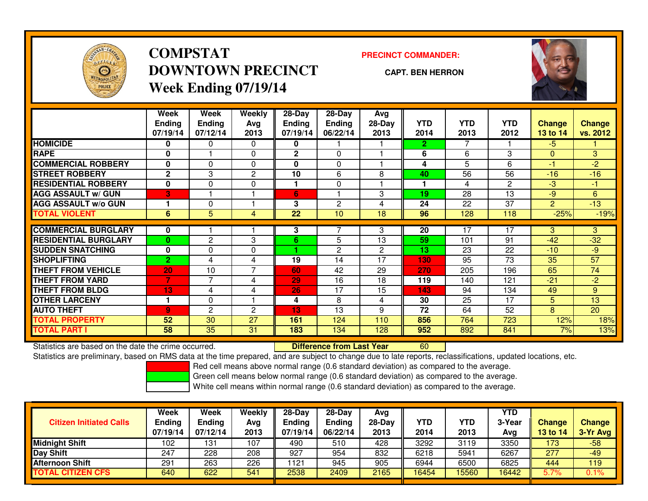

# **COMPSTATDOWNTOWN PRECINCTWeek Ending 07/19/14**

**PRECINCT COMMANDER:**

**CAPT. BEN HERRON**



|                             | Week<br><b>Ending</b><br>07/19/14 | Week<br><b>Ending</b><br>07/12/14 | <b>Weekly</b><br>Avg<br>2013 | $28-Day$<br><b>Ending</b><br>07/19/14 | $28-Day$<br><b>Ending</b><br>06/22/14 | Avg<br>28-Day<br>2013 | <b>YTD</b><br>2014 | <b>YTD</b><br>2013 | <b>YTD</b><br>2012 | <b>Change</b><br>13 to 14 | <b>Change</b><br>vs. 2012 |
|-----------------------------|-----------------------------------|-----------------------------------|------------------------------|---------------------------------------|---------------------------------------|-----------------------|--------------------|--------------------|--------------------|---------------------------|---------------------------|
| <b>HOMICIDE</b>             | 0                                 | 0                                 | $\Omega$                     | 0                                     |                                       |                       | $\overline{2}$     | 7                  |                    | -5                        |                           |
| <b>RAPE</b>                 | 0                                 |                                   | $\Omega$                     | $\mathbf{2}$                          | $\Omega$                              |                       | 6                  | 6                  | 3                  | $\Omega$                  | 3                         |
| <b>COMMERCIAL ROBBERY</b>   | 0                                 | 0                                 | $\Omega$                     | 0                                     | 0                                     |                       | 4                  | 5                  | 6                  | -1                        | $-2$                      |
| <b>STREET ROBBERY</b>       | $\mathbf{2}$                      | 3                                 | 2                            | 10                                    | 6                                     | 8                     | 40                 | 56                 | 56                 | $-16$                     | $-16$                     |
| <b>RESIDENTIAL ROBBERY</b>  | 0                                 | 0                                 | 0                            |                                       | 0                                     |                       |                    | 4                  | 2                  | -3                        | -1.                       |
| <b>AGG ASSAULT w/ GUN</b>   | 3                                 |                                   |                              | 6                                     |                                       | 3                     | 19                 | 28                 | 13                 | -9                        | 6                         |
| <b>AGG ASSAULT w/o GUN</b>  | 1                                 | 0                                 |                              | 3                                     | $\mathbf{2}$                          | 4                     | 24                 | 22                 | 37                 | $\overline{2}$            | $-13$                     |
| <b>TOTAL VIOLENT</b>        | 6                                 | 5                                 | 4                            | 22                                    | 10                                    | 18                    | 96                 | 128                | 118                | $-25%$                    | $-19%$                    |
| <b>COMMERCIAL BURGLARY</b>  | 0                                 |                                   |                              | 3                                     |                                       | 3                     | 20                 | 17                 | 17                 | 3                         | 3                         |
| <b>RESIDENTIAL BURGLARY</b> | $\bf{0}$                          | 2                                 | 3                            | 6.                                    | 5                                     | 13                    | 59                 | 101                | 91                 | $-42$                     | $-32$                     |
| <b>ISUDDEN SNATCHING</b>    | 0                                 | 0                                 | 0                            |                                       | 2                                     | $\overline{2}$        | 13                 | 23                 | 22                 | $-10$                     | $-9$                      |
| <b>SHOPLIFTING</b>          | $\overline{2}$                    | 4                                 | 4                            | 19                                    | 14                                    | 17                    | 130                | 95                 | 73                 | 35                        | 57                        |
| <b>THEFT FROM VEHICLE</b>   | 20                                | 10                                | $\overline{7}$               | 60                                    | 42                                    | 29                    | 270                | 205                | 196                | 65                        | 74                        |
| <b>THEFT FROM YARD</b>      | 7                                 | $\overline{7}$                    |                              | 29                                    | 16                                    | 18                    |                    | 140                | 121                | $-21$                     | $-2$                      |
|                             |                                   |                                   | 4                            |                                       |                                       |                       | 119                |                    |                    |                           |                           |
| <b>THEFT FROM BLDG</b>      | 13                                | 4                                 | 4                            | 26                                    | 17                                    | 15                    | 143                | 94                 | 134                | 49                        | 9                         |
| <b>OTHER LARCENY</b>        | 1                                 | 0                                 |                              | 4                                     | 8                                     | 4                     | 30                 | 25                 | 17                 | 5                         | 13                        |
| <b>AUTO THEFT</b>           | 9                                 | $\overline{c}$                    | 2                            | 13                                    | 13                                    | 9                     | 72                 | 64                 | 52                 | 8                         | 20                        |
| <b>TOTAL PROPERTY</b>       | 52                                | 30                                | 27                           | 161                                   | 124                                   | 110                   | 856                | 764                | 723                | 12%                       | 18%                       |
| TOTAL PART I                | 58                                | 35                                | 31                           | 183                                   | 134                                   | 128                   | 952                | 892                | 841                | 7%                        | 13%                       |

Statistics are based on the date the crime occurred. **Difference from Last Year** 

Statistics are based on the date the crime occurred.<br>Statistics are preliminary, based on RMS data at the time prepared, and are subject to change due to late reports, reclassifications, updated locations, etc.

Red cell means above normal range (0.6 standard deviation) as compared to the average.

Green cell means below normal range (0.6 standard deviation) as compared to the average.

| <b>Citizen Initiated Calls</b> | Week<br><b>Ending</b><br>07/19/14 | Week<br><b>Ending</b><br>07/12/14 | Weekly<br>Avg<br>2013 | $28-Day$<br><b>Ending</b><br>07/19/14 | $28-Day$<br><b>Ending</b><br>06/22/14 | Avg<br>28-Day<br>2013 | YTD<br>2014 | YTD<br>2013 | <b>YTD</b><br>3-Year<br>Avg | <b>Change</b><br>13 to 14 | Change<br>3-Yr Avg |
|--------------------------------|-----------------------------------|-----------------------------------|-----------------------|---------------------------------------|---------------------------------------|-----------------------|-------------|-------------|-----------------------------|---------------------------|--------------------|
| <b>Midnight Shift</b>          | 102                               | 131                               | 107                   | 490                                   | 510                                   | 428                   | 3292        | 3119        | 3350                        | 173                       | $-58$              |
| Day Shift                      | 247                               | 228                               | 208                   | 927                                   | 954                                   | 832                   | 6218        | 5941        | 6267                        | 277                       | $-49$              |
| <b>Afternoon Shift</b>         | 291                               | 263                               | 226                   | 1121                                  | 945                                   | 905                   | 6944        | 6500        | 6825                        | 444                       | 119                |
| <b>TOTAL CITIZEN CFS</b>       | 640                               | 622                               | 541                   | 2538                                  | 2409                                  | 2165                  | 16454       | 15560       | 16442                       | 5.7%                      | 0.1%               |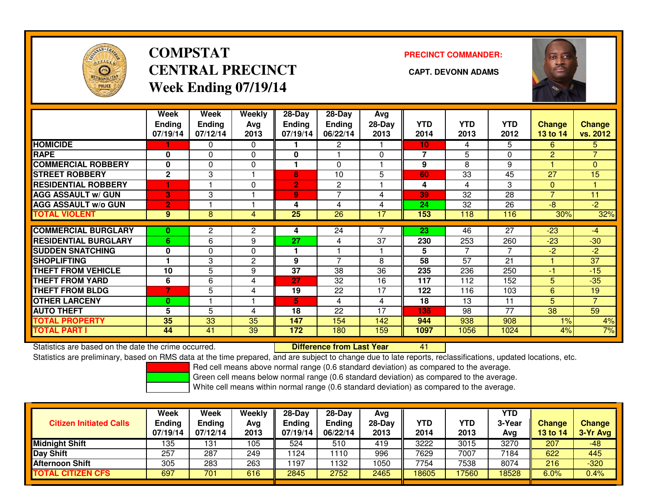

## **COMPSTATCENTRAL PRECINCT Week Ending 07/19/14**

**PRECINCT COMMANDER:**



|                             | Week<br><b>Ending</b><br>07/19/14 | Week<br><b>Ending</b><br>07/12/14 | Weekly<br>Ava<br>2013 | $28 - Day$<br><b>Ending</b><br>07/19/14 | $28 - Day$<br><b>Ending</b><br>06/22/14 | Avg<br>28-Day<br>2013 | <b>YTD</b><br>2014 | <b>YTD</b><br>2013 | <b>YTD</b><br>2012 | <b>Change</b><br>13 to 14 | <b>Change</b><br>vs. 2012 |
|-----------------------------|-----------------------------------|-----------------------------------|-----------------------|-----------------------------------------|-----------------------------------------|-----------------------|--------------------|--------------------|--------------------|---------------------------|---------------------------|
| <b>HOMICIDE</b>             |                                   | 0                                 | $\Omega$              |                                         | 2                                       |                       | 10                 | 4                  | 5                  | 6                         | 5.                        |
| <b>RAPE</b>                 | 0                                 | $\Omega$                          | 0                     | $\mathbf{0}$                            |                                         | $\Omega$              | 7                  | 5                  | $\Omega$           | $\overline{2}$            | $\overline{7}$            |
| <b>COMMERCIAL ROBBERY</b>   | 0                                 | $\Omega$                          | $\Omega$              |                                         | $\Omega$                                |                       | 9                  | 8                  | 9                  |                           | $\Omega$                  |
| <b>ISTREET ROBBERY</b>      | $\mathbf{2}$                      | 3                                 |                       | 8                                       | 10                                      | 5                     | 60                 | 33                 | 45                 | 27                        | 15                        |
| <b>RESIDENTIAL ROBBERY</b>  | н                                 |                                   | $\Omega$              | $\overline{2}$                          | 2                                       |                       | 4                  | 4                  | 3                  | $\mathbf{0}$              |                           |
| <b>AGG ASSAULT w/ GUN</b>   | 3                                 | 3                                 |                       | 9                                       | $\overline{ }$                          | 4                     | 39                 | $\overline{32}$    | $\overline{28}$    | $\overline{7}$            | 11                        |
| <b>AGG ASSAULT w/o GUN</b>  | $\overline{2}$                    |                                   |                       | 4                                       | 4                                       | 4                     | 24                 | 32                 | 26                 | $-8$                      | $-2$                      |
| <b>TOTAL VIOLENT</b>        | 9                                 | 8                                 | 4                     | 25                                      | 26                                      | 17                    | 153                | 118                | 116                | 30%                       | 32%                       |
|                             |                                   |                                   |                       |                                         |                                         |                       |                    |                    |                    |                           |                           |
| <b>COMMERCIAL BURGLARY</b>  | 0                                 | $\overline{2}$                    | 2                     | 4                                       | 24                                      |                       | 23                 | 46                 | 27                 | $-23$                     | $-4$                      |
| <b>RESIDENTIAL BURGLARY</b> | 6                                 | 6                                 | 9                     | 27                                      | 4                                       | 37                    | 230                | 253                | 260                | $-23$                     | $-30$                     |
| <b>SUDDEN SNATCHING</b>     | $\mathbf{0}$                      | $\Omega$                          | 0                     |                                         |                                         |                       | 5                  | 7                  | 7                  | $-2$                      | $-2$                      |
| <b>SHOPLIFTING</b>          |                                   | 3                                 | 2                     | 9                                       | $\overline{7}$                          | 8                     | 58                 | 57                 | 21                 |                           | 37                        |
| <b>THEFT FROM VEHICLE</b>   | 10                                | 5                                 | 9                     | 37                                      | 38                                      | 36                    | 235                | 236                | 250                | -1                        | $-15$                     |
| <b>THEFT FROM YARD</b>      | 6                                 | 6                                 | 4                     | 27                                      | 32                                      | 16                    | 117                | 112                | 152                | 5                         | $-35$                     |
| <b>THEFT FROM BLDG</b>      | $\overline{7}$                    | 5                                 | 4                     | 19                                      | 22                                      | 17                    | 122                | 116                | 103                | 6                         | 19                        |
| <b>OTHER LARCENY</b>        | $\bf{0}$                          |                                   |                       | 5.                                      | 4                                       | 4                     | 18                 | 13                 | 11                 | 5                         | $\overline{7}$            |
| <b>AUTO THEFT</b>           | 5                                 | 5                                 | 4                     | 18                                      | 22                                      | 17                    | 136                | 98                 | 77                 | 38                        | 59                        |
| <b>TOTAL PROPERTY</b>       | 35                                | 33                                | 35                    | 147                                     | 154                                     | 142                   | 944                | 938                | 908                | 1%                        | 4%                        |
| <b>TOTAL PART I</b>         | 44                                | 41                                | 39                    | 172                                     | 180                                     | 159                   | 1097               | 1056               | 1024               | 4%                        | 7%                        |

Statistics are based on the date the crime occurred. **Difference from Last Year** 

Statistics are based on the date the crime occurred. **Extence to Luber Conduct State Conduct Article Conduct** Sta<br>Statistics are preliminary, based on RMS data at the time prepared, and are subject to change due to late re

Red cell means above normal range (0.6 standard deviation) as compared to the average.

Green cell means below normal range (0.6 standard deviation) as compared to the average.

| <b>Citizen Initiated Calls</b> | Week<br><b>Ending</b><br>07/19/14 | Week<br><b>Ending</b><br>07/12/14 | Weekly<br>Avg<br>2013 | $28-Dav$<br>Ending<br>07/19/14 | $28 - Day$<br><b>Ending</b><br>06/22/14 | Avg<br>28-Day<br>2013 | <b>YTD</b><br>2014 | YTD<br>2013 | <b>YTD</b><br>3-Year<br>Avg | <b>Change</b><br>13 to 14 | <b>Change</b><br>3-Yr Avg |
|--------------------------------|-----------------------------------|-----------------------------------|-----------------------|--------------------------------|-----------------------------------------|-----------------------|--------------------|-------------|-----------------------------|---------------------------|---------------------------|
| <b>Midnight Shift</b>          | 135                               | 131                               | 105                   | 524                            | 510                                     | 419                   | 3222               | 3015        | 3270                        | 207                       | $-48$                     |
| Day Shift                      | 257                               | 287                               | 249                   | 1124                           | 110                                     | 996                   | 7629               | 7007        | 7184                        | 622                       | 445                       |
| <b>Afternoon Shift</b>         | 305                               | 283                               | 263                   | 1197                           | 1132                                    | 1050                  | 7754               | 7538        | 8074                        | 216                       | $-320$                    |
| <b>TOTAL CITIZEN CFS</b>       | 697                               | 701                               | 616                   | 2845                           | 2752                                    | 2465                  | 18605              | 7560        | 18528                       | 6.0%                      | $0.4\%$                   |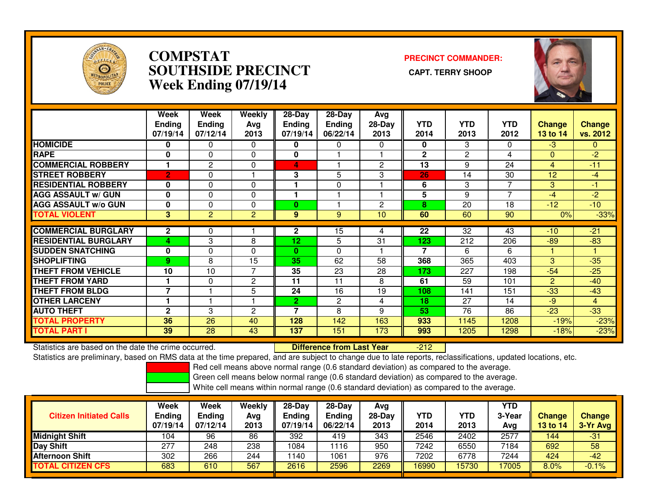

#### **COMPSTAT PRECINCT COMMANDER: SOUTHSIDE PRECINCT CAPT. TERRY SHOOPWeek Ending 07/19/14**



|                             | Week<br><b>Ending</b><br>07/19/14 | Week<br><b>Ending</b><br>07/12/14 | Weekly<br>Avg<br>2013 | 28-Day<br><b>Ending</b><br>07/19/14 | $28-Day$<br><b>Ending</b><br>06/22/14 | Avg<br>28-Day<br>2013 | <b>YTD</b><br>2014 | <b>YTD</b><br>2013 | <b>YTD</b><br>2012 | <b>Change</b><br>13 to 14 | <b>Change</b><br>vs. 2012 |
|-----------------------------|-----------------------------------|-----------------------------------|-----------------------|-------------------------------------|---------------------------------------|-----------------------|--------------------|--------------------|--------------------|---------------------------|---------------------------|
| <b>HOMICIDE</b>             | 0                                 | 0                                 | 0                     | 0                                   | 0                                     | 0                     | 0                  | 3                  | 0                  | $-3$                      | 0                         |
| <b>RAPE</b>                 | 0                                 | $\Omega$                          | $\Omega$              | 0                                   |                                       |                       | $\mathbf{2}$       | 2                  | 4                  | $\Omega$                  | $-2$                      |
| <b>COMMERCIAL ROBBERY</b>   | 1                                 | 2                                 | 0                     | 4                                   |                                       | 2                     | 13                 | 9                  | 24                 | 4                         | $-11$                     |
| <b>STREET ROBBERY</b>       | $\overline{2}$                    | $\Omega$                          |                       | 3                                   | 5                                     | 3                     | 26                 | 14                 | 30                 | 12                        | -4                        |
| <b>RESIDENTIAL ROBBERY</b>  | 0                                 | $\Omega$                          | $\Omega$              |                                     | 0                                     |                       | 6                  | 3                  | 7                  | 3                         | -1                        |
| <b>AGG ASSAULT w/ GUN</b>   | 0                                 | $\Omega$                          | $\Omega$              |                                     |                                       |                       | 5                  | 9                  | 7                  | -4                        | $-2$                      |
| <b>AGG ASSAULT w/o GUN</b>  | 0                                 | $\Omega$                          | 0                     | 0                                   |                                       | 2                     | 8                  | 20                 | 18                 | $-12$                     | $-10$                     |
| <b>TOTAL VIOLENT</b>        | 3                                 | 2                                 | $\overline{2}$        | 9                                   | 9                                     | 10 <sup>1</sup>       | 60                 | 60                 | 90                 | 0%                        | $-33%$                    |
|                             |                                   |                                   |                       |                                     |                                       |                       |                    |                    |                    |                           |                           |
| <b>COMMERCIAL BURGLARY</b>  | $\mathbf 2$                       | 0                                 |                       | 2                                   | 15                                    | 4                     | 22                 | $\overline{32}$    | 43                 | $-10$                     | $-21$                     |
| <b>RESIDENTIAL BURGLARY</b> | Δ                                 | 3                                 | 8                     | 12                                  | 5                                     | 31                    | 123                | 212                | 206                | $-89$                     | $-83$                     |
| <b>SUDDEN SNATCHING</b>     | 0                                 | $\Omega$                          | $\Omega$              | 0                                   | 0                                     |                       | 7                  | 6                  | 6                  |                           |                           |
| <b>SHOPLIFTING</b>          | 9                                 | 8                                 | 15                    | 35                                  | 62                                    | 58                    | 368                | 365                | 403                | 3                         | $-35$                     |
| <b>THEFT FROM VEHICLE</b>   | 10                                | 10                                | $\overline{7}$        | 35                                  | 23                                    | 28                    | 173                | 227                | 198                | $-54$                     | $-25$                     |
| <b>THEFT FROM YARD</b>      | 1                                 | $\Omega$                          | $\mathbf{2}$          | 11                                  | 11                                    | 8                     | 61                 | 59                 | 101                | $\overline{2}$            | $-40$                     |
| <b>THEFT FROM BLDG</b>      | $\overline{7}$                    |                                   | 5                     | 24                                  | 16                                    | 19                    | 108                | 141                | 151                | $-33$                     | $-43$                     |
| <b>OTHER LARCENY</b>        | ۴                                 |                                   |                       | $\overline{2}$                      | $\overline{2}$                        | 4                     | 18                 | 27                 | 14                 | -9                        | $\overline{4}$            |
| <b>AUTO THEFT</b>           | 2                                 | 3                                 | 2                     |                                     | 8                                     | 9                     | 53                 | 76                 | 86                 | $-23$                     | $-33$                     |
| <b>TOTAL PROPERTY</b>       | 36                                | 26                                | 40                    | 128                                 | 142                                   | 163                   | 933                | 1145               | 1208               | $-19%$                    | $-23%$                    |
| <b>TOTAL PART I</b>         | 39                                | 28                                | 43                    | 137                                 | 151                                   | 173                   | 993                | 1205               | 1298               | $-18%$                    | $-23%$                    |

Statistics are based on the date the crime occurred. **Difference from Last Year** 

 $-212$ 

Statistics are preliminary, based on RMS data at the time prepared, and are subject to change due to late reports, reclassifications, updated locations, etc.

Red cell means above normal range (0.6 standard deviation) as compared to the average.

Green cell means below normal range (0.6 standard deviation) as compared to the average.

| <b>Citizen Initiated Calls</b> | Week<br><b>Ending</b><br>07/19/14 | Week<br>Ending<br>07/12/14 | Weekly<br>Avg<br>2013 | 28-Day<br><b>Ending</b><br>07/19/14 | $28-Dav$<br><b>Ending</b><br>06/22/14 | Avg<br>28-Dav<br>2013 | YTD<br>2014 | YTD<br>2013 | <b>YTD</b><br>3-Year<br>Avg | <b>Change</b><br><b>13 to 14</b> | <b>Change</b><br>3-Yr Avg |
|--------------------------------|-----------------------------------|----------------------------|-----------------------|-------------------------------------|---------------------------------------|-----------------------|-------------|-------------|-----------------------------|----------------------------------|---------------------------|
| <b>Midnight Shift</b>          | 104                               | 96                         | 86                    | 392                                 | 419                                   | 343                   | 2546        | 2402        | 2577                        | 144                              | $-31$                     |
| <b>Day Shift</b>               | 277                               | 248                        | 238                   | 1084                                | 116                                   | 950                   | 7242        | 6550        | 7184                        | 692                              | 58                        |
| <b>Afternoon Shift</b>         | 302                               | 266                        | 244                   | 1140                                | 1061                                  | 976                   | 7202        | 6778        | 7244                        | 424                              | $-42$                     |
| <b>TOTAL CITIZEN CFS</b>       | 683                               | 610                        | 567                   | 2616                                | 2596                                  | 2269                  | 16990       | 15730       | 17005                       | 8.0%                             | $-0.1%$                   |